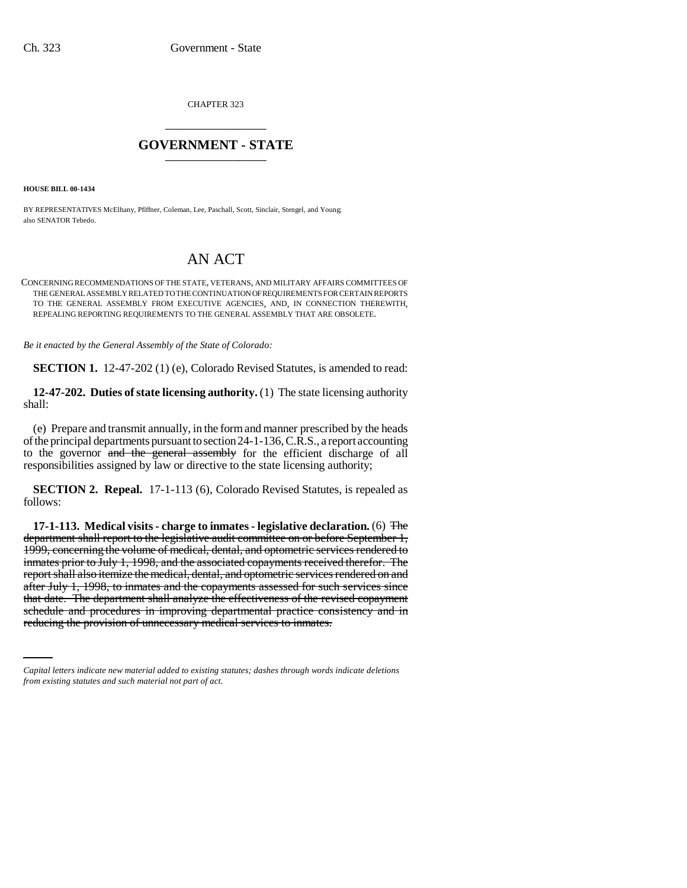CHAPTER 323 \_\_\_\_\_\_\_\_\_\_\_\_\_\_\_

## **GOVERNMENT - STATE** \_\_\_\_\_\_\_\_\_\_\_\_\_\_\_

**HOUSE BILL 00-1434** 

BY REPRESENTATIVES McElhany, Pfiffner, Coleman, Lee, Paschall, Scott, Sinclair, Stengel, and Young; also SENATOR Tebedo.

## AN ACT

CONCERNING RECOMMENDATIONS OF THE STATE, VETERANS, AND MILITARY AFFAIRS COMMITTEES OF THE GENERAL ASSEMBLY RELATED TO THE CONTINUATION OF REQUIREMENTS FOR CERTAIN REPORTS TO THE GENERAL ASSEMBLY FROM EXECUTIVE AGENCIES, AND, IN CONNECTION THEREWITH, REPEALING REPORTING REQUIREMENTS TO THE GENERAL ASSEMBLY THAT ARE OBSOLETE.

*Be it enacted by the General Assembly of the State of Colorado:*

**SECTION 1.** 12-47-202 (1) (e), Colorado Revised Statutes, is amended to read:

**12-47-202. Duties of state licensing authority.** (1) The state licensing authority shall:

(e) Prepare and transmit annually, in the form and manner prescribed by the heads of the principal departments pursuant to section 24-1-136, C.R.S., a report accounting to the governor and the general assembly for the efficient discharge of all responsibilities assigned by law or directive to the state licensing authority;

**SECTION 2. Repeal.** 17-1-113 (6), Colorado Revised Statutes, is repealed as follows:

that date. The department shall analyze the effectiveness of the revised copayment **17-1-113. Medical visits - charge to inmates - legislative declaration.** (6) The department shall report to the legislative audit committee on or before September 1, 1999, concerning the volume of medical, dental, and optometric services rendered to inmates prior to July 1, 1998, and the associated copayments received therefor. The report shall also itemize the medical, dental, and optometric services rendered on and after July 1, 1998, to inmates and the copayments assessed for such services since schedule and procedures in improving departmental practice consistency and in reducing the provision of unnecessary medical services to inmates.

*Capital letters indicate new material added to existing statutes; dashes through words indicate deletions from existing statutes and such material not part of act.*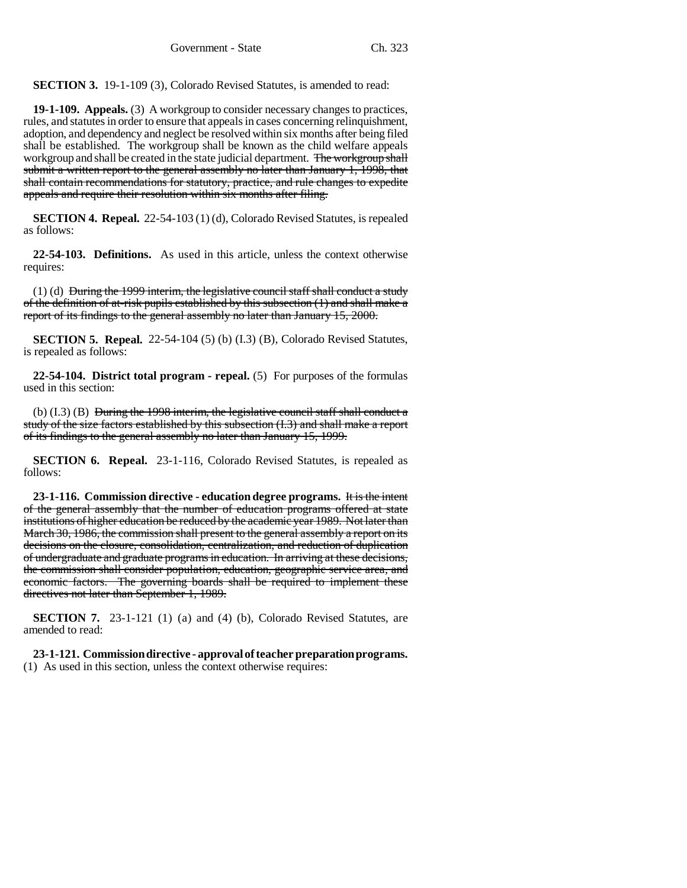**SECTION 3.** 19-1-109 (3), Colorado Revised Statutes, is amended to read:

**19-1-109. Appeals.** (3) A workgroup to consider necessary changes to practices, rules, and statutes in order to ensure that appeals in cases concerning relinquishment, adoption, and dependency and neglect be resolved within six months after being filed shall be established. The workgroup shall be known as the child welfare appeals workgroup and shall be created in the state judicial department. The workgroup shall submit a written report to the general assembly no later than January 1, 1998, that shall contain recommendations for statutory, practice, and rule changes to expedite appeals and require their resolution within six months after filing.

**SECTION 4. Repeal.** 22-54-103 (1) (d), Colorado Revised Statutes, is repealed as follows:

**22-54-103. Definitions.** As used in this article, unless the context otherwise requires:

(1) (d) During the 1999 interim, the legislative council staff shall conduct a study of the definition of at-risk pupils established by this subsection (1) and shall make a report of its findings to the general assembly no later than January 15, 2000.

**SECTION 5. Repeal.** 22-54-104 (5) (b) (I.3) (B), Colorado Revised Statutes, is repealed as follows:

**22-54-104. District total program - repeal.** (5) For purposes of the formulas used in this section:

(b) (I.3) (B) During the 1998 interim, the legislative council staff shall conduct a study of the size factors established by this subsection (I.3) and shall make a report of its findings to the general assembly no later than January 15, 1999.

**SECTION 6. Repeal.** 23-1-116, Colorado Revised Statutes, is repealed as follows:

**23-1-116. Commission directive - education degree programs.** It is the intent of the general assembly that the number of education programs offered at state institutions of higher education be reduced by the academic year 1989. Not later than March 30, 1986, the commission shall present to the general assembly a report on its decisions on the closure, consolidation, centralization, and reduction of duplication of undergraduate and graduate programs in education. In arriving at these decisions, the commission shall consider population, education, geographic service area, and economic factors. The governing boards shall be required to implement these directives not later than September 1, 1989.

**SECTION 7.** 23-1-121 (1) (a) and (4) (b), Colorado Revised Statutes, are amended to read:

**23-1-121. Commission directive - approval of teacher preparation programs.** (1) As used in this section, unless the context otherwise requires: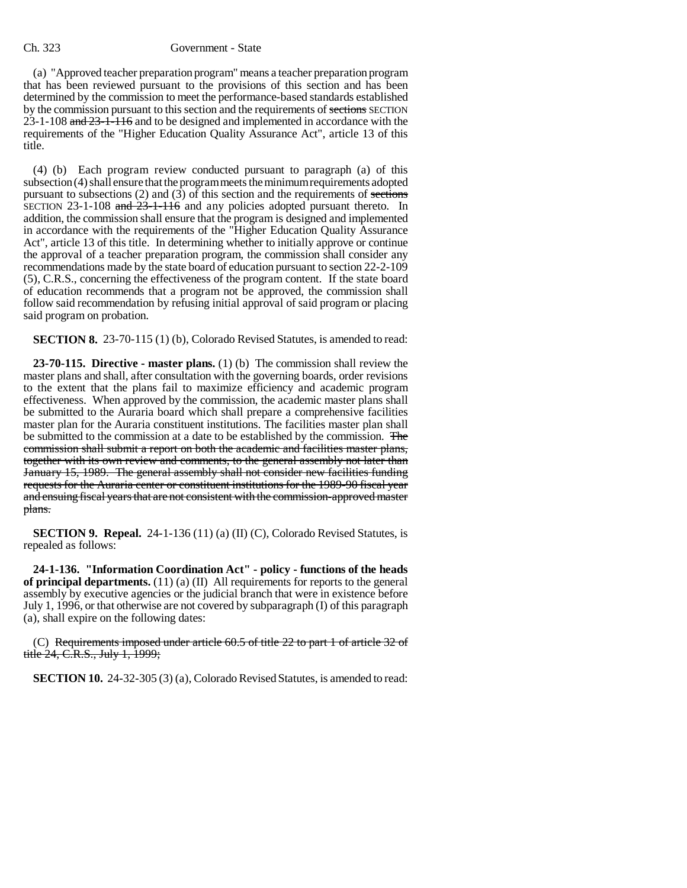## Ch. 323 Government - State

(a) "Approved teacher preparation program" means a teacher preparation program that has been reviewed pursuant to the provisions of this section and has been determined by the commission to meet the performance-based standards established by the commission pursuant to this section and the requirements of sections SECTION 23-1-108 and 23-1-116 and to be designed and implemented in accordance with the requirements of the "Higher Education Quality Assurance Act", article 13 of this title.

(4) (b) Each program review conducted pursuant to paragraph (a) of this subsection (4) shall ensure that the program meets the minimum requirements adopted pursuant to subsections  $(2)$  and  $(3)$  of this section and the requirements of sections SECTION 23-1-108 and  $23$ -1-116 and any policies adopted pursuant thereto. In addition, the commission shall ensure that the program is designed and implemented in accordance with the requirements of the "Higher Education Quality Assurance Act", article 13 of this title. In determining whether to initially approve or continue the approval of a teacher preparation program, the commission shall consider any recommendations made by the state board of education pursuant to section 22-2-109 (5), C.R.S., concerning the effectiveness of the program content. If the state board of education recommends that a program not be approved, the commission shall follow said recommendation by refusing initial approval of said program or placing said program on probation.

**SECTION 8.** 23-70-115 (1) (b), Colorado Revised Statutes, is amended to read:

**23-70-115. Directive - master plans.** (1) (b) The commission shall review the master plans and shall, after consultation with the governing boards, order revisions to the extent that the plans fail to maximize efficiency and academic program effectiveness. When approved by the commission, the academic master plans shall be submitted to the Auraria board which shall prepare a comprehensive facilities master plan for the Auraria constituent institutions. The facilities master plan shall be submitted to the commission at a date to be established by the commission. The commission shall submit a report on both the academic and facilities master plans, together with its own review and comments, to the general assembly not later than January 15, 1989. The general assembly shall not consider new facilities funding requests for the Auraria center or constituent institutions for the 1989-90 fiscal year and ensuing fiscal years that are not consistent with the commission-approved master plans.

**SECTION 9. Repeal.** 24-1-136 (11) (a) (II) (C), Colorado Revised Statutes, is repealed as follows:

**24-1-136. "Information Coordination Act" - policy - functions of the heads of principal departments.** (11) (a) (II) All requirements for reports to the general assembly by executive agencies or the judicial branch that were in existence before July 1, 1996, or that otherwise are not covered by subparagraph (I) of this paragraph (a), shall expire on the following dates:

(C) Requirements imposed under article 60.5 of title 22 to part 1 of article 32 of title 24, C.R.S., July 1, 1999;

**SECTION 10.** 24-32-305 (3) (a), Colorado Revised Statutes, is amended to read: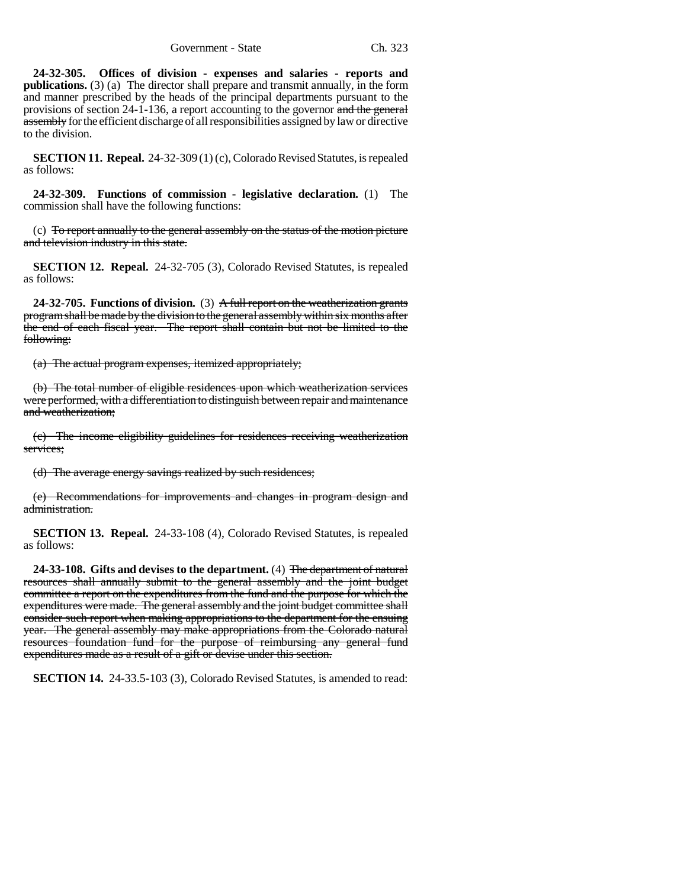**24-32-305. Offices of division - expenses and salaries - reports and publications.** (3) (a) The director shall prepare and transmit annually, in the form and manner prescribed by the heads of the principal departments pursuant to the provisions of section 24-1-136, a report accounting to the governor and the general assembly for the efficient discharge of all responsibilities assigned by law or directive to the division.

**SECTION 11. Repeal.** 24-32-309 (1) (c), Colorado Revised Statutes, is repealed as follows:

**24-32-309. Functions of commission - legislative declaration.** (1) The commission shall have the following functions:

(c) To report annually to the general assembly on the status of the motion picture and television industry in this state.

**SECTION 12. Repeal.** 24-32-705 (3), Colorado Revised Statutes, is repealed as follows:

**24-32-705. Functions of division.** (3) A full report on the weatherization grants program shall be made by the division to the general assembly within six months after the end of each fiscal year. The report shall contain but not be limited to the following:

(a) The actual program expenses, itemized appropriately;

(b) The total number of eligible residences upon which weatherization services were performed, with a differentiation to distinguish between repair and maintenance and weatherization;

(c) The income eligibility guidelines for residences receiving weatherization services;

(d) The average energy savings realized by such residences;

(e) Recommendations for improvements and changes in program design and administration.

**SECTION 13. Repeal.** 24-33-108 (4), Colorado Revised Statutes, is repealed as follows:

**24-33-108. Gifts and devises to the department.** (4) The department of natural resources shall annually submit to the general assembly and the joint budget committee a report on the expenditures from the fund and the purpose for which the expenditures were made. The general assembly and the joint budget committee shall consider such report when making appropriations to the department for the ensuing year. The general assembly may make appropriations from the Colorado natural resources foundation fund for the purpose of reimbursing any general fund expenditures made as a result of a gift or devise under this section.

**SECTION 14.** 24-33.5-103 (3), Colorado Revised Statutes, is amended to read: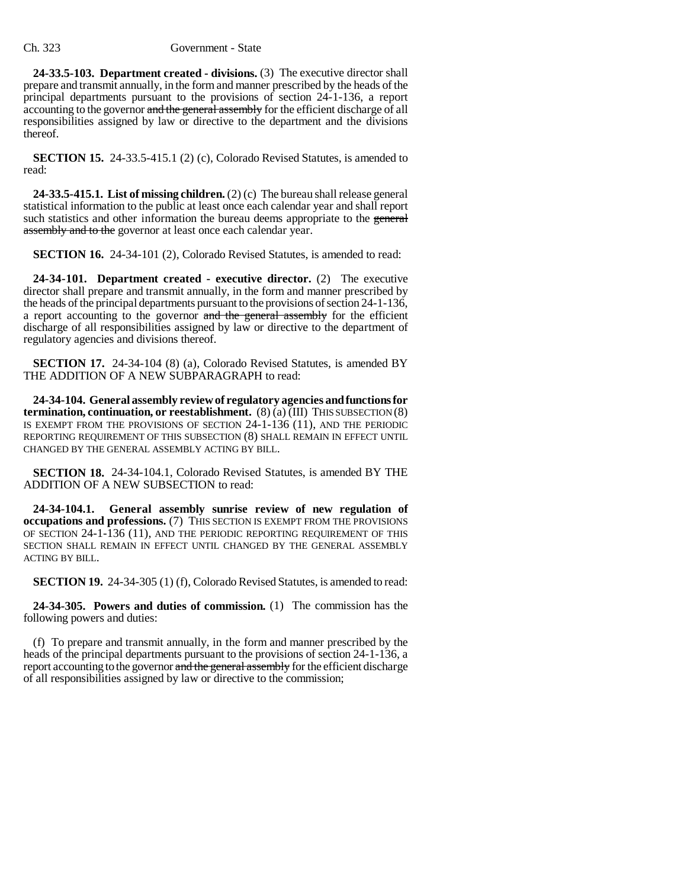**24-33.5-103. Department created - divisions.** (3) The executive director shall prepare and transmit annually, in the form and manner prescribed by the heads of the principal departments pursuant to the provisions of section 24-1-136, a report accounting to the governor and the general assembly for the efficient discharge of all responsibilities assigned by law or directive to the department and the divisions thereof.

**SECTION 15.** 24-33.5-415.1 (2) (c), Colorado Revised Statutes, is amended to read:

**24-33.5-415.1. List of missing children.** (2) (c) The bureau shall release general statistical information to the public at least once each calendar year and shall report such statistics and other information the bureau deems appropriate to the general assembly and to the governor at least once each calendar year.

**SECTION 16.** 24-34-101 (2), Colorado Revised Statutes, is amended to read:

**24-34-101. Department created - executive director.** (2) The executive director shall prepare and transmit annually, in the form and manner prescribed by the heads of the principal departments pursuant to the provisions of section 24-1-136, a report accounting to the governor and the general assembly for the efficient discharge of all responsibilities assigned by law or directive to the department of regulatory agencies and divisions thereof.

**SECTION 17.** 24-34-104 (8) (a), Colorado Revised Statutes, is amended BY THE ADDITION OF A NEW SUBPARAGRAPH to read:

**24-34-104. General assembly review of regulatory agencies and functions for termination, continuation, or reestablishment.** (8) (a) (III) THIS SUBSECTION (8) IS EXEMPT FROM THE PROVISIONS OF SECTION 24-1-136 (11), AND THE PERIODIC REPORTING REQUIREMENT OF THIS SUBSECTION (8) SHALL REMAIN IN EFFECT UNTIL CHANGED BY THE GENERAL ASSEMBLY ACTING BY BILL.

**SECTION 18.** 24-34-104.1, Colorado Revised Statutes, is amended BY THE ADDITION OF A NEW SUBSECTION to read:

**24-34-104.1. General assembly sunrise review of new regulation of occupations and professions.** (7) THIS SECTION IS EXEMPT FROM THE PROVISIONS OF SECTION 24-1-136 (11), AND THE PERIODIC REPORTING REQUIREMENT OF THIS SECTION SHALL REMAIN IN EFFECT UNTIL CHANGED BY THE GENERAL ASSEMBLY ACTING BY BILL.

**SECTION 19.** 24-34-305 (1) (f), Colorado Revised Statutes, is amended to read:

**24-34-305. Powers and duties of commission.** (1) The commission has the following powers and duties:

(f) To prepare and transmit annually, in the form and manner prescribed by the heads of the principal departments pursuant to the provisions of section 24-1-136, a report accounting to the governor and the general assembly for the efficient discharge of all responsibilities assigned by law or directive to the commission;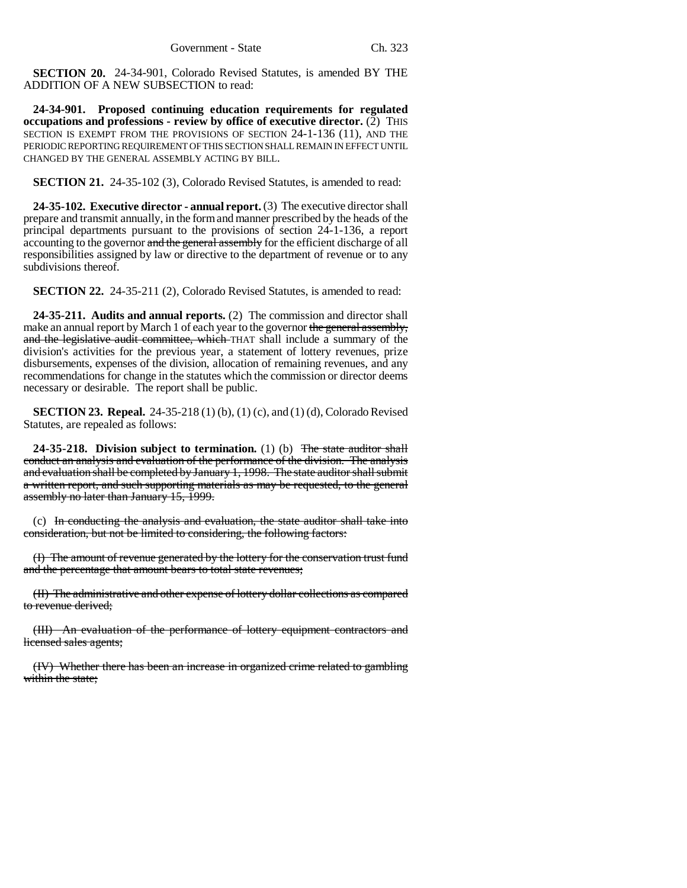**SECTION 20.** 24-34-901, Colorado Revised Statutes, is amended BY THE ADDITION OF A NEW SUBSECTION to read:

**24-34-901. Proposed continuing education requirements for regulated occupations and professions - review by office of executive director.** (2) THIS SECTION IS EXEMPT FROM THE PROVISIONS OF SECTION 24-1-136 (11), AND THE PERIODIC REPORTING REQUIREMENT OF THIS SECTION SHALL REMAIN IN EFFECT UNTIL CHANGED BY THE GENERAL ASSEMBLY ACTING BY BILL.

**SECTION 21.** 24-35-102 (3), Colorado Revised Statutes, is amended to read:

**24-35-102. Executive director - annual report.** (3) The executive director shall prepare and transmit annually, in the form and manner prescribed by the heads of the principal departments pursuant to the provisions of section 24-1-136, a report accounting to the governor and the general assembly for the efficient discharge of all responsibilities assigned by law or directive to the department of revenue or to any subdivisions thereof.

**SECTION 22.** 24-35-211 (2), Colorado Revised Statutes, is amended to read:

**24-35-211. Audits and annual reports.** (2) The commission and director shall make an annual report by March 1 of each year to the governor the general assembly, and the legislative audit committee, which THAT shall include a summary of the division's activities for the previous year, a statement of lottery revenues, prize disbursements, expenses of the division, allocation of remaining revenues, and any recommendations for change in the statutes which the commission or director deems necessary or desirable. The report shall be public.

**SECTION 23. Repeal.** 24-35-218 (1) (b), (1) (c), and (1) (d), Colorado Revised Statutes, are repealed as follows:

**24-35-218. Division subject to termination.** (1) (b) The state auditor shall conduct an analysis and evaluation of the performance of the division. The analysis and evaluation shall be completed by January 1, 1998. The state auditor shall submit a written report, and such supporting materials as may be requested, to the general assembly no later than January 15, 1999.

(c) In conducting the analysis and evaluation, the state auditor shall take into consideration, but not be limited to considering, the following factors:

(I) The amount of revenue generated by the lottery for the conservation trust fund and the percentage that amount bears to total state revenues;

(II) The administrative and other expense of lottery dollar collections as compared to revenue derived;

(III) An evaluation of the performance of lottery equipment contractors and licensed sales agents;

(IV) Whether there has been an increase in organized crime related to gambling within the state;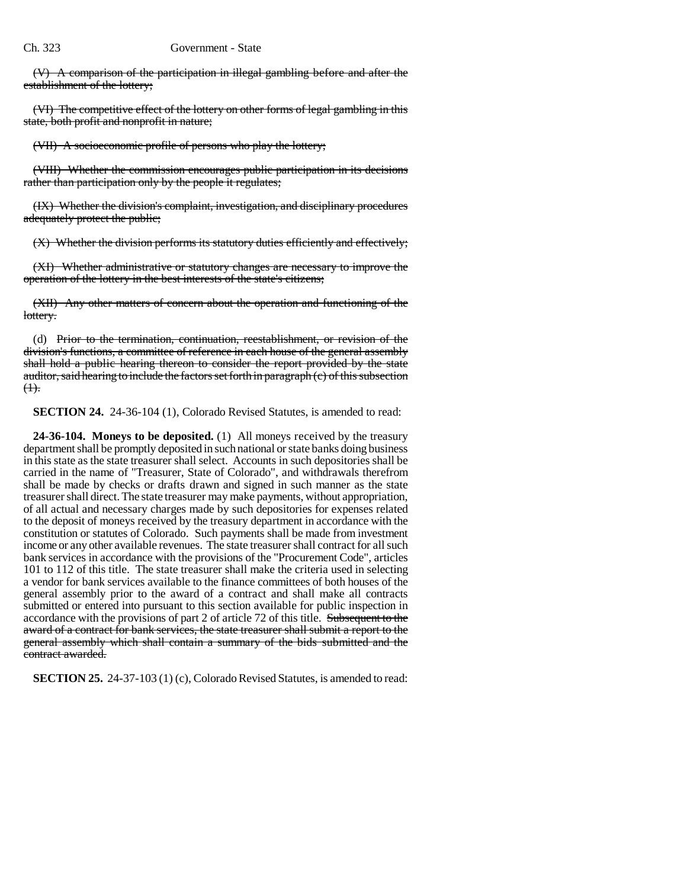(V) A comparison of the participation in illegal gambling before and after the establishment of the lottery;

(VI) The competitive effect of the lottery on other forms of legal gambling in this state, both profit and nonprofit in nature;

(VII) A socioeconomic profile of persons who play the lottery;

(VIII) Whether the commission encourages public participation in its decisions rather than participation only by the people it regulates;

(IX) Whether the division's complaint, investigation, and disciplinary procedures adequately protect the public;

(X) Whether the division performs its statutory duties efficiently and effectively;

(XI) Whether administrative or statutory changes are necessary to improve the operation of the lottery in the best interests of the state's citizens;

(XII) Any other matters of concern about the operation and functioning of the lottery.

(d) Prior to the termination, continuation, reestablishment, or revision of the division's functions, a committee of reference in each house of the general assembly shall hold a public hearing thereon to consider the report provided by the state auditor, said hearing to include the factors set forth in paragraph (c) of this subsection  $<sup>(1)</sup>$ .</sup>

**SECTION 24.** 24-36-104 (1), Colorado Revised Statutes, is amended to read:

**24-36-104. Moneys to be deposited.** (1) All moneys received by the treasury department shall be promptly deposited in such national or state banks doing business in this state as the state treasurer shall select. Accounts in such depositories shall be carried in the name of "Treasurer, State of Colorado", and withdrawals therefrom shall be made by checks or drafts drawn and signed in such manner as the state treasurer shall direct. The state treasurer may make payments, without appropriation, of all actual and necessary charges made by such depositories for expenses related to the deposit of moneys received by the treasury department in accordance with the constitution or statutes of Colorado. Such payments shall be made from investment income or any other available revenues. The state treasurer shall contract for all such bank services in accordance with the provisions of the "Procurement Code", articles 101 to 112 of this title. The state treasurer shall make the criteria used in selecting a vendor for bank services available to the finance committees of both houses of the general assembly prior to the award of a contract and shall make all contracts submitted or entered into pursuant to this section available for public inspection in accordance with the provisions of part 2 of article 72 of this title. Subsequent to the award of a contract for bank services, the state treasurer shall submit a report to the general assembly which shall contain a summary of the bids submitted and the contract awarded.

**SECTION 25.** 24-37-103 (1) (c), Colorado Revised Statutes, is amended to read: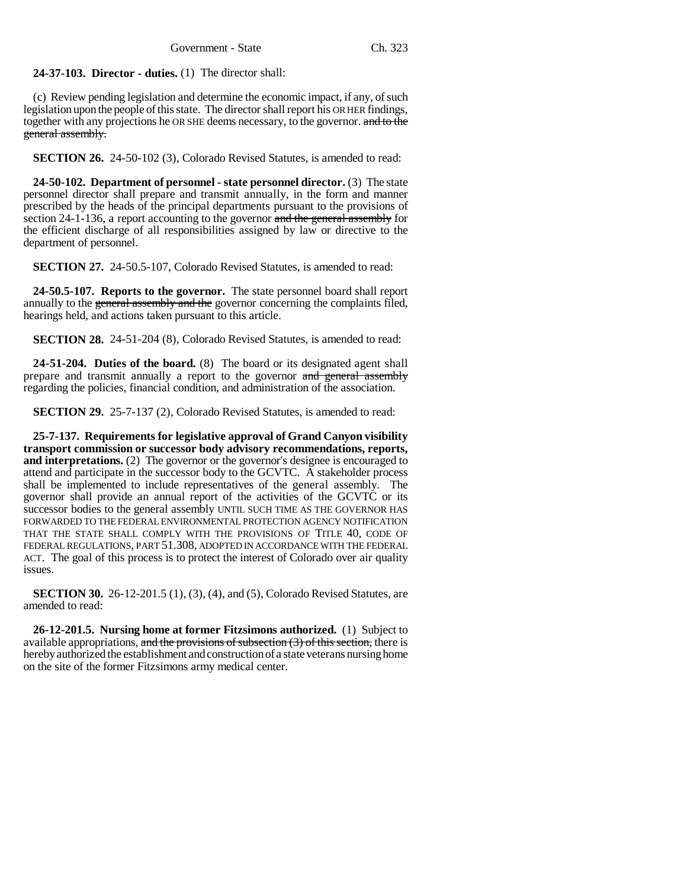**24-37-103. Director - duties.** (1) The director shall:

(c) Review pending legislation and determine the economic impact, if any, of such legislation upon the people of this state. The director shall report his OR HER findings, together with any projections he OR SHE deems necessary, to the governor. and to the general assembly.

**SECTION 26.** 24-50-102 (3), Colorado Revised Statutes, is amended to read:

**24-50-102. Department of personnel - state personnel director.** (3) The state personnel director shall prepare and transmit annually, in the form and manner prescribed by the heads of the principal departments pursuant to the provisions of section 24-1-136, a report accounting to the governor and the general assembly for the efficient discharge of all responsibilities assigned by law or directive to the department of personnel.

**SECTION 27.** 24-50.5-107, Colorado Revised Statutes, is amended to read:

**24-50.5-107. Reports to the governor.** The state personnel board shall report annually to the general assembly and the governor concerning the complaints filed, hearings held, and actions taken pursuant to this article.

**SECTION 28.** 24-51-204 (8), Colorado Revised Statutes, is amended to read:

**24-51-204. Duties of the board.** (8) The board or its designated agent shall prepare and transmit annually a report to the governor and general assembly regarding the policies, financial condition, and administration of the association.

**SECTION 29.** 25-7-137 (2), Colorado Revised Statutes, is amended to read:

**25-7-137. Requirements for legislative approval of Grand Canyon visibility transport commission or successor body advisory recommendations, reports, and interpretations.** (2) The governor or the governor's designee is encouraged to attend and participate in the successor body to the GCVTC. A stakeholder process shall be implemented to include representatives of the general assembly. The governor shall provide an annual report of the activities of the GCVTC or its successor bodies to the general assembly UNTIL SUCH TIME AS THE GOVERNOR HAS FORWARDED TO THE FEDERAL ENVIRONMENTAL PROTECTION AGENCY NOTIFICATION THAT THE STATE SHALL COMPLY WITH THE PROVISIONS OF TITLE 40, CODE OF FEDERAL REGULATIONS, PART 51.308, ADOPTED IN ACCORDANCE WITH THE FEDERAL ACT. The goal of this process is to protect the interest of Colorado over air quality issues.

**SECTION 30.** 26-12-201.5 (1), (3), (4), and (5), Colorado Revised Statutes, are amended to read:

**26-12-201.5. Nursing home at former Fitzsimons authorized.** (1) Subject to available appropriations, and the provisions of subsection  $(3)$  of this section, there is hereby authorized the establishment and construction of a state veterans nursing home on the site of the former Fitzsimons army medical center.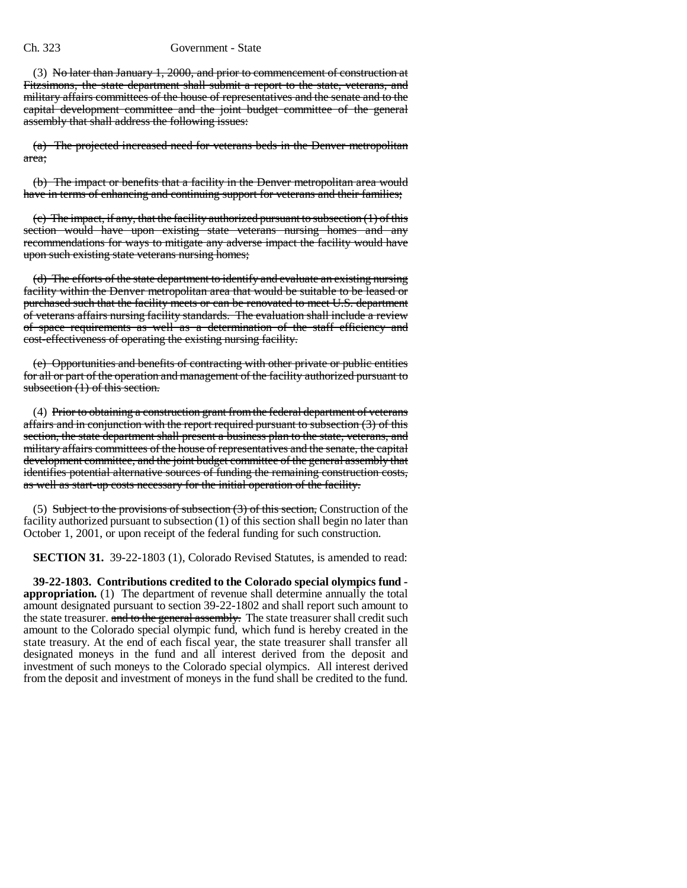## Ch. 323 Government - State

(3) No later than January 1, 2000, and prior to commencement of construction at Fitzsimons, the state department shall submit a report to the state, veterans, and military affairs committees of the house of representatives and the senate and to the capital development committee and the joint budget committee of the general assembly that shall address the following issues:

(a) The projected increased need for veterans beds in the Denver metropolitan area;

(b) The impact or benefits that a facility in the Denver metropolitan area would have in terms of enhancing and continuing support for veterans and their families;

 $(c)$  The impact, if any, that the facility authorized pursuant to subsection  $(1)$  of this section would have upon existing state veterans nursing homes and any recommendations for ways to mitigate any adverse impact the facility would have upon such existing state veterans nursing homes;

(d) The efforts of the state department to identify and evaluate an existing nursing facility within the Denver metropolitan area that would be suitable to be leased or purchased such that the facility meets or can be renovated to meet U.S. department of veterans affairs nursing facility standards. The evaluation shall include a review of space requirements as well as a determination of the staff efficiency and cost-effectiveness of operating the existing nursing facility.

(e) Opportunities and benefits of contracting with other private or public entities for all or part of the operation and management of the facility authorized pursuant to subsection (1) of this section.

(4) Prior to obtaining a construction grant from the federal department of veterans affairs and in conjunction with the report required pursuant to subsection (3) of this section, the state department shall present a business plan to the state, veterans, and military affairs committees of the house of representatives and the senate, the capital development committee, and the joint budget committee of the general assembly that identifies potential alternative sources of funding the remaining construction costs, as well as start-up costs necessary for the initial operation of the facility.

(5) Subject to the provisions of subsection  $(3)$  of this section, Construction of the facility authorized pursuant to subsection (1) of this section shall begin no later than October 1, 2001, or upon receipt of the federal funding for such construction.

**SECTION 31.** 39-22-1803 (1), Colorado Revised Statutes, is amended to read:

**39-22-1803. Contributions credited to the Colorado special olympics fund appropriation.** (1) The department of revenue shall determine annually the total amount designated pursuant to section 39-22-1802 and shall report such amount to the state treasurer. and to the general assembly. The state treasurer shall credit such amount to the Colorado special olympic fund, which fund is hereby created in the state treasury. At the end of each fiscal year, the state treasurer shall transfer all designated moneys in the fund and all interest derived from the deposit and investment of such moneys to the Colorado special olympics. All interest derived from the deposit and investment of moneys in the fund shall be credited to the fund.